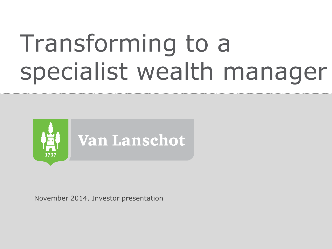# Transforming to a specialist wealth manager



November 2014, Investor presentation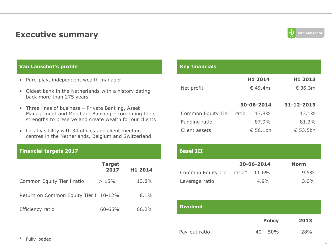### **Executive summary**



#### **Van Lanschot's profile**

- Pure-play, independent wealth manager
- Oldest bank in the Netherlands with a history dating back more than 275 years
- Three lines of business Private Banking, Asset Management and Merchant Banking – combining their strengths to preserve and create wealth for our clients
- Local visibility with 34 offices and client meeting centres in the Netherlands, Belgium and Switzerland

#### **Financial targets 2017**

|                                       | <b>Target</b><br>2017 | H1 2014 | Common I        |
|---------------------------------------|-----------------------|---------|-----------------|
| Common Equity Tier I ratio            | >15%                  | 13.8%   | Leverage i      |
| Return on Common Equity Tier I 10-12% |                       | $8.1\%$ |                 |
| Efficiency ratio                      | $60 - 65%$            | 66.2%   | <b>Dividend</b> |

| <b>Key financials</b>      |                     |                     |
|----------------------------|---------------------|---------------------|
|                            | H <sub>1</sub> 2014 | H <sub>1</sub> 2013 |
| Net profit                 | €49.4m              | €.36.3m             |
|                            |                     |                     |
|                            | 30-06-2014          | 31-12-2013          |
| Common Equity Tier I ratio | 13.8%               | $13.1\%$            |
| Funding ratio              | 87.9%               | 81.3%               |
| Client assets              | €56.1bn             | € 53.5bn            |

| <b>Basel III</b>            |            |             |
|-----------------------------|------------|-------------|
|                             | 30-06-2014 | <b>Norm</b> |
| Common Equity Tier I ratio* | 11.6%      | 9.5%        |
| Leverage ratio              | 4.9%       | $3.0\%$     |
|                             |            |             |
|                             |            |             |

|               | <b>Policy</b> | 2013 |
|---------------|---------------|------|
| Pay-out ratio | $40 - 50\%$   | 28%  |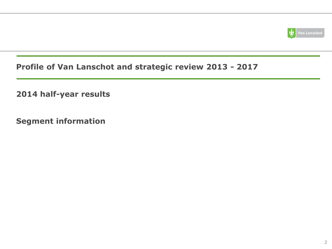

### **Profile of Van Lanschot and strategic review 2013 - 2017**

**2014 half-year results**

**Segment information**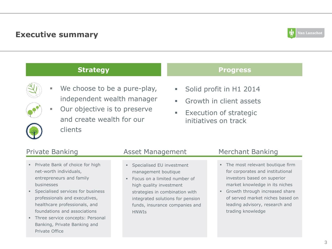### **Executive summary**



### **Strategy Progress**



- We choose to be a pure-play, independent wealth manager
- **Our objective is to preserve** and create wealth for our clients

- **Solid profit in H1 2014**
- **Growth in client assets**
- **Execution of strategic** initiatives on track

- **Private Bank of choice for high** net-worth individuals, entrepreneurs and family businesses
- **Specialised services for business** professionals and executives, healthcare professionals, and foundations and associations
- **Three service concepts: Personal** Banking, Private Banking and Private Office

### Private Banking The Asset Management Merchant Banking

- **Specialised EU investment** management boutique
- **Focus on a limited number of** high quality investment strategies in combination with integrated solutions for pension funds, insurance companies and **HNWIS**

- The most relevant boutique firm for corporates and institutional investors based on superior market knowledge in its niches
- Growth through increased share of served market niches based on leading advisory, research and trading knowledge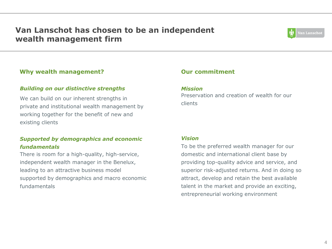### **Van Lanschot has chosen to be an independent wealth management firm**



### **Why wealth management?**

### *Building on our distinctive strengths*

We can build on our inherent strengths in private and institutional wealth management by working together for the benefit of new and existing clients

### *Supported by demographics and economic fundamentals*

There is room for a high-quality, high-service, independent wealth manager in the Benelux, leading to an attractive business model supported by demographics and macro economic fundamentals

### **Our commitment**

#### *Mission*

Preservation and creation of wealth for our clients

#### *Vision*

To be the preferred wealth manager for our domestic and international client base by providing top-quality advice and service, and superior risk-adjusted returns. And in doing so attract, develop and retain the best available talent in the market and provide an exciting, entrepreneurial working environment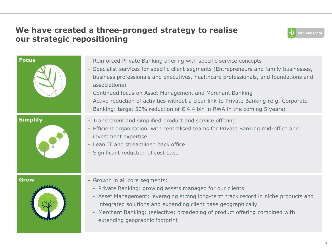### **We have created a three-pronged strategy to realise our strategic repositioning**



| <b>Focus</b>    | - Reinforced Private Banking offering with specific service concepts<br>- Specialist services for specific client segments (Entrepreneurs and family businesses,<br>business professionals and executives, healthcare professionals, and foundations and<br>associations)<br>- Continued focus on Asset Management and Merchant Banking<br>- Active reduction of activities without a clear link to Private Banking (e.g. Corporate<br>Banking: target 50% reduction of $\epsilon$ 4.4 bln in RWA in the coming 5 years) |
|-----------------|--------------------------------------------------------------------------------------------------------------------------------------------------------------------------------------------------------------------------------------------------------------------------------------------------------------------------------------------------------------------------------------------------------------------------------------------------------------------------------------------------------------------------|
| <b>Simplify</b> | - Transparent and simplified product and service offering<br>- Efficient organisation, with centralised teams for Private Banking mid-office and<br>investment expertise<br>- Lean IT and streamlined back office<br>- Significant reduction of cost base                                                                                                                                                                                                                                                                |
| <b>Grow</b>     | - Growth in all core segments:<br>• Private Banking: growing assets managed for our clients<br>• Asset Management: leveraging strong long-term track record in niche products and<br>integrated solutions and expanding client base geographically<br>• Merchant Banking: (selective) broadening of product offering combined with<br>extending geographic footprint                                                                                                                                                     |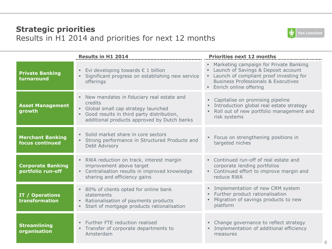### **Strategic priorities** Results in H1 2014 and priorities for next 12 months



|                                               | <b>Results in H1 2014</b>                                                                                                                                                                | <b>Priorities next 12 months</b>                                                                                                                                                                         |
|-----------------------------------------------|------------------------------------------------------------------------------------------------------------------------------------------------------------------------------------------|----------------------------------------------------------------------------------------------------------------------------------------------------------------------------------------------------------|
| <b>Private Banking</b><br>turnaround          | Evi developing towards $\epsilon$ 1 billion<br>Significant progress on establishing new service<br>offerings                                                                             | • Marketing campaign for Private Banking<br>Launch of Savings & Deposit account<br>• Launch of compliant proof investing for<br><b>Business Professionals &amp; Executives</b><br>Enrich online offering |
| <b>Asset Management</b><br>growth             | New mandates in fiduciary real estate and<br>credits<br>• Global small cap strategy launched<br>Good results in third party distribution,<br>additional products approved by Dutch banks | • Capitalise on promising pipeline<br>Introduction global real estate strategy<br>. Roll out of new portfolio management and<br>risk systems                                                             |
| <b>Merchant Banking</b><br>focus continued    | · Solid market share in core sectors<br>Strong performance in Structured Products and<br>Debt Advisory                                                                                   | • Focus on strengthening positions in<br>targeted niches                                                                                                                                                 |
| <b>Corporate Banking</b><br>portfolio run-off | • RWA reduction on track, interest margin<br>improvement above target<br>• Centralisation results in improved knowledge<br>sharing and efficiency gains                                  | • Continued run-off of real estate and<br>corporate lending portfolios<br>• Continued effort to improve margin and<br>reduce RWA                                                                         |
| IT / Operations<br>transformation             | • 80% of clients opted for online bank<br>statements<br>Rationalisation of payments products<br>Start of mortgage products rationalisation                                               | · Implementation of new CRM system<br>Further product rationalisation<br>Migration of savings products to new<br>platform                                                                                |
| <b>Streamlining</b><br>organisation           | Further FTE reduction realised<br>Transfer of corporate departments to<br>Amsterdam                                                                                                      | • Change governance to reflect strategy<br>· Implementation of additional efficiency<br>measures                                                                                                         |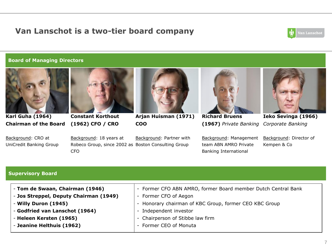### **Van Lanschot is a two-tier board company**



#### **Board of Managing Directors**



**Karl Guha (1964) Chairman of the Board**

**Constant Korthout (1962) CFO / CRO**



**Arjan Huisman (1971) COO**



**Richard Bruens (1967)** *Private Banking*



**Ieko Sevinga (1966)** *Corporate Banking*

Background: CRO at UniCredit Banking Group Background: 18 years at Robeco Group, since 2002 as Boston Consulting Group CFO

Background: Partner with

Background: Management team ABN AMRO Private Banking International

Background: Director of Kempen & Co

**7**

#### **Supervisory Board**

- Former CFO ABN AMRO, former Board member Dutch Central Bank - Former CFO of Aegon - Honorary chairman of KBC Group, former CEO KBC Group - Independent investor - Chairperson of Stibbe law firm - **Tom de Swaan, Chairman (1946)** - **Jos Streppel, Deputy Chairman (1949)** - **Willy Duron (1945)**  - **Godfried van Lanschot (1964)** - **Heleen Kersten (1965)** - **Jeanine Helthuis (1962)**
	- Former CEO of Monuta

7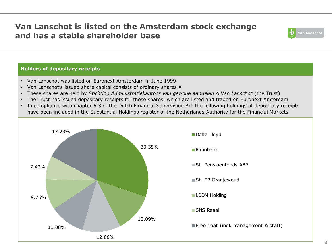### **Van Lanschot is listed on the Amsterdam stock exchange and has a stable shareholder base**



### **Holders of depositary receipts**

- Van Lanschot was listed on Euronext Amsterdam in June 1999
- Van Lanschot's issued share capital consists of ordinary shares A
- These shares are held by *Stichting Administratiekantoor van gewone aandelen A Van Lanschot* (the Trust)
- The Trust has issued depositary receipts for these shares, which are listed and traded on Euronext Amterdam
- In compliance with chapter 5.3 of the Dutch Financial Supervision Act the following holdings of depositary receipts have been included in the Substantial Holdings register of the Netherlands Authority for the Financial Markets

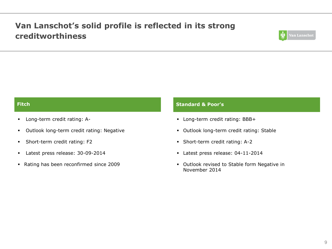### **Van Lanschot's solid profile is reflected in its strong creditworthiness**



- Long-term credit rating: A-
- Outlook long-term credit rating: Negative
- Short-term credit rating: F2
- Latest press release: 30-09-2014
- Rating has been reconfirmed since 2009

#### **Fitch Standard & Poor's**

- Long-term credit rating: BBB+
- Outlook long-term credit rating: Stable
- Short-term credit rating: A-2
- Latest press release: 04-11-2014
- Outlook revised to Stable form Negative in November 2014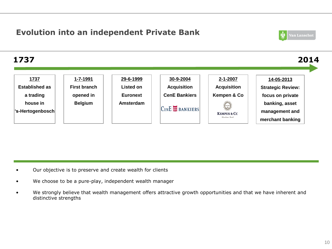### **Evolution into an independent Private Bank**



#### **1737 2014 1737 1-7-1991 29-6-1999 30-9-2004 2-1-2007 14-05-2013 Established as First branch Listed on Acquisition Acquisition Strategic Review: a trading opened in Euronext CenE Bankiers Kempen & Co focus on private house in BelgiumAmsterdam banking, asset**  CENE **IN** BANKIERS **'s-Hertogenbosch management and KEMPEN & CO** Merchant Bank **merchant banking**

• Our objective is to preserve and create wealth for clients

- We choose to be a pure-play, independent wealth manager
- We strongly believe that wealth management offers attractive growth opportunities and that we have inherent and distinctive strengths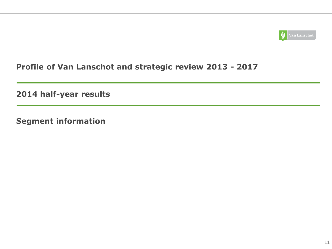

### **Profile of Van Lanschot and strategic review 2013 - 2017**

**2014 half-year results**

**Segment information**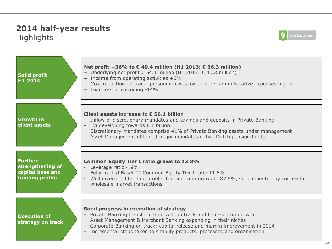### **2014 half-year results**  Highlights



| Solid profit<br>H1 2014                                                   | Net profit +36% to $\epsilon$ 49.4 million (H1 2013: $\epsilon$ 36.3 million)<br>- Underlying net profit $\epsilon$ 54.1 million (H1 2013: $\epsilon$ 40.3 million)<br>Income from operating activities $+5\%$<br>$-$<br>Cost reduction on track; personnel costs lower, other administrative expenses higher<br>$ \,$<br>- Loan loss provisioning -14% |
|---------------------------------------------------------------------------|---------------------------------------------------------------------------------------------------------------------------------------------------------------------------------------------------------------------------------------------------------------------------------------------------------------------------------------------------------|
| <b>Growth in</b><br>client assets                                         | Client assets increase to $\epsilon$ 56.1 billion<br>- Inflow of discretionary mandates and savings and deposits in Private Banking<br>- Evi developing towards € 1 billion<br>- Discretionary mandates comprise 41% of Private Banking assets under management<br>- Asset Management obtained major mandates of two Dutch pension funds                |
| <b>Further</b><br>strengthening of<br>capital base and<br>funding profile | <b>Common Equity Tier I ratio grows to 13.8%</b><br>Leverage ratio 4.9%<br>$\overline{\phantom{a}}$<br>Fully-loaded Basel III Common Equity Tier I ratio 11.6%<br>Well diversified funding profile: funding ratio grows to 87.9%, supplemented by successful<br>wholesale market transactions                                                           |
| <b>Execution of</b><br>strategy on track                                  | Good progress in execution of strategy<br>- Private Banking transformation well on track and focussed on growth<br>- Asset Management & Merchant Banking expanding in their niches<br>- Corporate Banking on track; capital release and margin improvement in 2014<br>- Incremental steps taken to simplify products, processes and organisation        |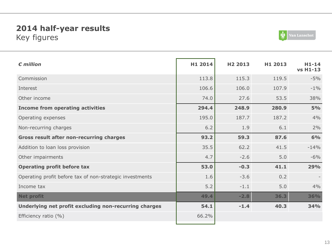### **2014 half-year results**  Key figures



| $\epsilon$ million                                       | H1 2014 | H <sub>2</sub> 2013 | H1 2013 | $H1-14$<br><b>vs H1-13</b> |
|----------------------------------------------------------|---------|---------------------|---------|----------------------------|
| Commission                                               | 113.8   | 115.3               | 119.5   | $-5%$                      |
| Interest                                                 | 106.6   | 106.0               | 107.9   | $-1\%$                     |
| Other income                                             | 74.0    | 27.6                | 53.5    | 38%                        |
| <b>Income from operating activities</b>                  | 294.4   | 248.9               | 280.9   | 5%                         |
| Operating expenses                                       | 195.0   | 187.7               | 187.2   | 4%                         |
| Non-recurring charges                                    | 6.2     | 1.9                 | 6.1     | 2%                         |
| <b>Gross result after non-recurring charges</b>          | 93.2    | 59.3                | 87.6    | 6%                         |
| Addition to loan loss provision                          | 35.5    | 62.2                | 41.5    | $-14%$                     |
| Other impairments                                        | 4.7     | $-2.6$              | 5.0     | $-6%$                      |
| <b>Operating profit before tax</b>                       | 53.0    | $-0.3$              | 41.1    | 29%                        |
| Operating profit before tax of non-strategic investments | 1.6     | $-3.6$              | 0.2     |                            |
| Income tax                                               | 5.2     | $-1.1$              | 5.0     | 4%                         |
| <b>Net profit</b>                                        | 49.4    | $-2.8$              | 36.3    | 36%                        |
| Underlying net profit excluding non-recurring charges    | 54.1    | $-1.4$              | 40.3    | <b>34%</b>                 |
| Efficiency ratio (%)                                     | 66.2%   |                     |         |                            |
|                                                          |         |                     |         |                            |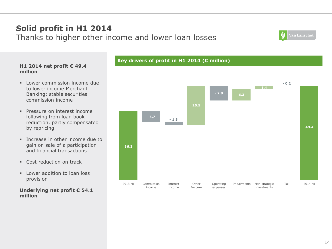

#### **H1 2014 net profit € 49.4 million**

**Solid profit in H1 2014**

Thanks to higher other income and lower loan losses

- **Lower commission income due** to lower income Merchant Banking; stable securities commission income
- **Pressure on interest income** following from loan book reduction, partly compensated by repricing
- Increase in other income due to gain on sale of a participation and financial transactions
- **Cost reduction on track**
- $\blacksquare$  Lower addition to loan loss provision

### **Underlying net profit € 54.1 million**

### **Key drivers of profit in H1 2014 (€ million)**

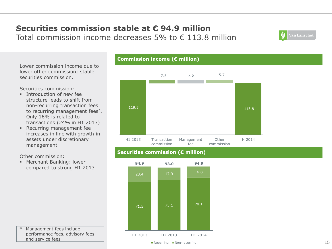### **Securities commission stable at € 94.9 million** Total commission income decreases 5% to  $\epsilon$  113.8 million



Lower commission income due to lower other commission; stable securities commission.

Securities commission:

- **Introduction of new fee** structure leads to shift from non-recurring transaction fees to recurring management fees\*. Only 16% is related to transactions (24% in H1 2013)
- **Recurring management fee** increases in line with growth in assets under discretionary management

Other commission:

 Merchant Banking: lower compared to strong H1 2013



### **Securities commission (€ million)**

**Commission income (€ million)**



Management fees include performance fees, advisory fees and service fees

#### Recurring Non-recurring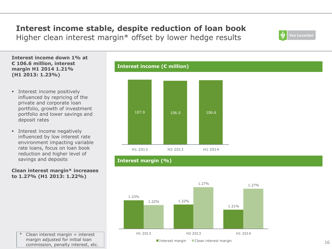# **Interest income stable, despite reduction of loan book**

Higher clean interest margin\* offset by lower hedge results

**Interest income down 1% at € 106.6 million, interest margin H1 2014 1.21% (H1 2013: 1.23%)**

- **Interest income positively** influenced by repricing of the private and corporate loan portfolio, growth of investment portfolio and lower savings and deposit rates
- **Interest income negatively** influenced by low interest rate environment impacting variable rate loans, focus on loan book reduction and higher level of savings and deposits

**Clean interest margin\* increases to 1.27% (H1 2013: 1.22%)**





**Interest margin (%)**

**Interest income (€ million)**



 $'$  Clean interest margin = interest margin adjusted for initial loan commission, penalty interest, etc. .<br>Van Lanschot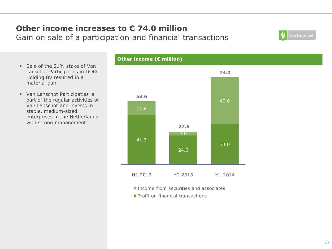### **Other income increases to € 74.0 million** Gain on sale of a participation and financial transactions

- Sale of the 21% stake of Van Lanschot Participaties in DORC Holding BV resulted in a material gain
- Van Lanschot Participaties is part of the regular activities of Van Lanschot and invests in stable, medium-sized enterprises in the Netherlands with strong management

# 41.7 24.6 34.0 11.8 3.0 40.0 **53.6 27.6 74.0** H1 2013 H2 2013 H1 2014

- **Income from securities and associates**
- **Profit on financial transactions**



### **Other income (€ million)**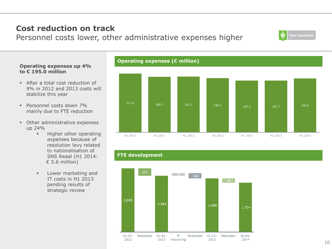# **Cost reduction on track**

Personnel costs lower, other administrative expenses higher

### **Operating expenses up 4% to € 195.0 million**

- After a total cost reduction of 9% in 2012 and 2013 costs will stabilize this year
- Personnel costs down 7% mainly due to FTE reduction
- **•** Other administrative expenses up 24%
	- **Higher other operating** expenses because of resolution levy related to nationalisation of SNS Reaal (H1 2014:  $\epsilon$  5.6 million)
	- **Lower marketing and** IT costs in H1 2013 pending results of strategic review

### **Operating expenses (€ million)**



### **FTE development**



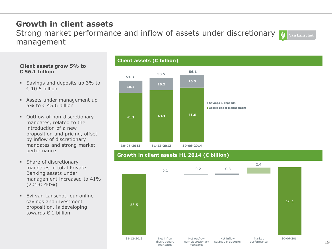### **Growth in client assets**

Strong market performance and inflow of assets under discretionary **Van Lanschot** management

#### **Client assets grow 5% to € 56.1 billion**

- **Savings and deposits up 3% to**  $€ 10.5$  billion
- Assets under management up 5% to € 45.6 billion
- **Outflow of non-discretionary** mandates, related to the introduction of a new proposition and pricing, offset by inflow of discretionary mandates and strong market performance
- **Share of discretionary** mandates in total Private Banking assets under management increased to 41% (2013: 40%)
- **Evi van Lanschot, our online** savings and investment proposition, is developing towards € 1 billion





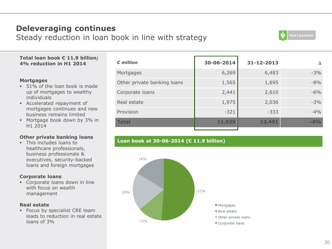### **Deleveraging continues**

Steady reduction in loan book in line with strategy



#### **Total loan book € 11.9 billion; 4% reduction in H1 2014**

#### **Mortgages**

- 51% of the loan book is made up of mortgages to wealthy individuals
- Accelerated repayment of mortgages continues and new business remains limited
- Mortgage book down by 3% in H1 2014

#### **Other private banking loans**

**This includes loans to** healthcare professionals, business professionals & executives, security-backed loans and foreign mortgages

#### **Corporate loans**

 Corporate loans down in line with focus on wealth management

#### **Real estate**

**Focus by specialist CRE team** leads to reduction in real estate loans of 3%

| $\epsilon$ million          | 30-06-2014 | 31-12-2013 | Δ      |
|-----------------------------|------------|------------|--------|
| Mortgages                   | 6,269      | 6,483      | $-3%$  |
| Other private banking loans | 1,565      | 1,695      | $-8%$  |
| Corporate loans             | 2,441      | 2,610      | $-6%$  |
| Real estate                 | 1,975      | 2,036      | $-3%$  |
| Provision                   | $-321$     | $-333$     | $-4\%$ |
| <b>Total</b>                | 11,929     | 12,491     | $-4%$  |
|                             |            |            |        |

### **Loan book at 30-06-2014 (€ 11.9 billion)**

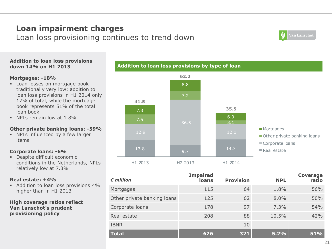### **Loan impairment charges**

Loan loss provisioning continues to trend down



#### **Addition to loan loss provisions down 14% on H1 2013**

#### **Mortgages: -18%**

- **Loan losses on mortgage book** traditionally very low: addition to loan loss provisions in H1 2014 only 17% of total, while the mortgage book represents 51% of the total loan book
- NPLs remain low at 1.8%

#### **Other private banking loans: -59%**

 NPLs influenced by a few larger items

#### **Corporate loans: -6%**

Despite difficult economic conditions in the Netherlands, NPLs relatively low at 7.3%

#### **Real estate: +4%**

Addition to loan loss provisions 4% higher than in H1 2013

#### **High coverage ratios reflect Van Lanschot's prudent provisioning policy**



**Addition to loan loss provisions by type of loan**

| $\epsilon$ million          | <b>Impaired</b><br>loans | <b>Provision</b> | <b>NPL</b> | Coverage<br>ratio |
|-----------------------------|--------------------------|------------------|------------|-------------------|
| Mortgages                   | 115                      | 64               | 1.8%       | 56%               |
| Other private banking loans | 125                      | 62               | 8.0%       | 50%               |
| Corporate loans             | 178                      | 97               | 7.3%       | 54%               |
| Real estate                 | 208                      | 88               | 10.5%      | 42%               |
| <b>IBNR</b>                 |                          | 10               |            |                   |
| <b>Total</b>                | 626                      | 321              | 5.2%       | 51%               |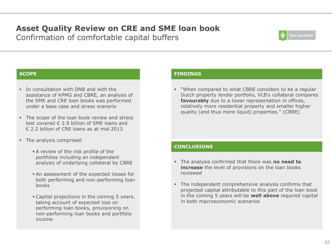# **Asset Quality Review on CRE and SME loan book**

Confirmation of comfortable capital buffers



- In consultation with DNB and with the assistance of KPMG and CBRE, an analysis of the SME and CRE loan books was performed under a base case and stress scenario
- The scope of the loan book review and stress test covered € 2.9 billion of SME loans and  $\epsilon$  2.2 billion of CRE loans as at mid 2013
- The analysis comprised:
	- A review of the risk profile of the portfolios including an independent analysis of underlying collateral by CBRE
	- An assessment of the expected losses for both performing and non-performing loan books
	- Capital projections in the coming 5 years, taking account of expected loss on performing loan books, provisioning on non-performing loan books and portfolio income

#### **SCOPE FINDINGS**

 "When compared to what CBRE considers to be a regular Dutch property lender portfolio, VLB's collateral compares **favourably** due to a lower representation in offices, relatively more residential property and smaller higher quality (and thus more liquid) properties." (CBRE)

#### **CONCLUSIONS**

- The analysis confirmed that there was **no need to increase** the level of provisions on the loan books reviewed
- The independent comprehensive analysis confirms that projected capital attributable to this part of the loan book in the coming 5 years will be **well above** required capital in both macroeconomic scenarios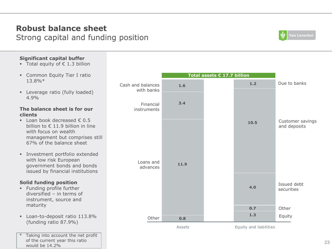### **Robust balance sheet** Strong capital and funding position



### **Significant capital buffer**

- Total equity of  $\epsilon$  1.3 billion
- **Example 2** Common Equity Tier I ratio 13.8%\*
- **Leverage ratio (fully loaded)** 4.9%

#### **The balance sheet is for our clients**

- $\blacksquare$  Loan book decreased  $\epsilon$  0.5 billion to € 11.9 billion in line with focus on wealth management but comprises still 67% of the balance sheet
- Investment portfolio extended with low risk European government bonds and bonds issued by financial institutions

### **Solid funding position**

- **Funding profile further** diversified – in terms of instrument, source and maturity
- **Loan-to-deposit ratio 113.8%** (funding ratio 87.9%)
- Taking into account the net profit of the current year this ratio would be 14.2%

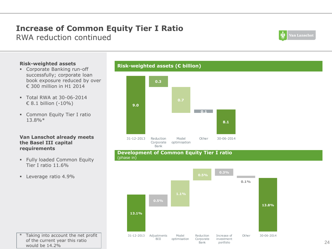### **Increase of Common Equity Tier I Ratio** RWA reduction continued

**Van Lanschot** 

#### **Risk-weighted assets**

- Corporate Banking run-off successfully; corporate loan book exposure reduced by over € 300 million in H1 2014
- Total RWA at 30-06-2014 € 8.1 billion (-10%)
- **Common Equity Tier I ratio** 13.8%\*

#### **Van Lanschot already meets the Basel III capital requirements**

- **Fully loaded Common Equity** Tier I ratio 11.6%
- **Leverage ratio 4.9%**

#### **Risk-weighted assets (€ billion)**



#### **Development of Common Equity Tier I ratio**  (phase in)



Taking into account the net profit of the current year this ratio would be 14.2%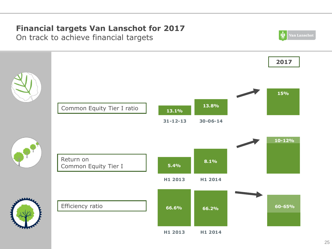# **Financial targets Van Lanschot for 2017**

On track to achieve financial targets

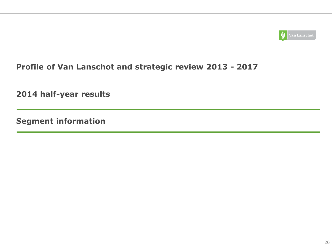

### **Profile of Van Lanschot and strategic review 2013 - 2017**

**2014 half-year results**

**Segment information**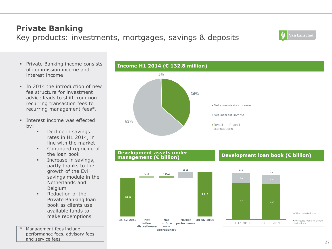individuals

# **Private Banking**

### Key products: investments, mortgages, savings & deposits

- **Private Banking income consists** of commission income and interest income
- $\blacksquare$  In 2014 the introduction of new fee structure for investment advice leads to shift from nonrecurring transaction fees to recurring management fees\*.
- **Interest income was effected** by:
	- **Decline in savings** rates in H1 2014, in line with the market
	- **Continued repricing of** the loan book
	- $\blacksquare$  Increase in savings, partly thanks to the growth of the Evi savings module in the Netherlands and Belgium
	- **Reduction of the** Private Banking loan book as clients use available funds to make redemptions
- Management fees include performance fees, advisory fees and service fees







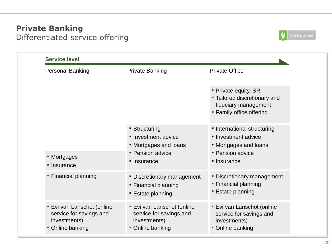### **Private Banking** Differentiated service offering



| <b>Service level</b>                                                                      |                                                                                                     |                                                                                                                |
|-------------------------------------------------------------------------------------------|-----------------------------------------------------------------------------------------------------|----------------------------------------------------------------------------------------------------------------|
| <b>Personal Banking</b>                                                                   | <b>Private Banking</b>                                                                              | <b>Private Office</b>                                                                                          |
|                                                                                           |                                                                                                     | " Private equity, SRI<br>" Tailored discretionary and<br>fiduciary management<br>" Family office offering      |
| ■ Mortgages<br>■ Insurance                                                                | <b>Structuring</b><br>lnyestment advice<br>• Mortgages and loans<br>• Pension advice<br>• Insurance | · International structuring<br>• Investment advice<br>• Mortgages and loans<br>• Pension advice<br>• Insurance |
| " Financial planning                                                                      | • Discretionary management<br>• Financial planning<br><b>Estate planning</b>                        | • Discretionary management<br>" Financial planning<br>■ Estate planning                                        |
| " Evi van Lanschot (online<br>service for savings and<br>investments)<br>" Online banking | " Evi van Lanschot (online<br>service for savings and<br>investments)<br>" Online banking           | " Evi van Lanschot (online<br>service for savings and<br>investments)<br>" Online banking                      |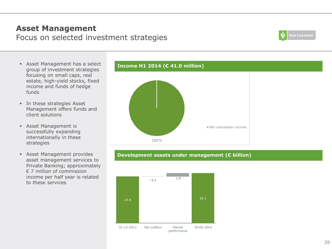### **Asset Management** Focus on selected investment strategies



- Asset Management has a select group of investment strategies focusing on small caps, real estate, high-yield stocks, fixed income and funds of hedge funds
- **In these strategies Asset** Management offers funds and client solutions
- Asset Management is successfully expanding internationally in these strategies
- **Asset Management provides** asset management services to Private Banking; approximately € 7 million of commission income per half year is related to these services





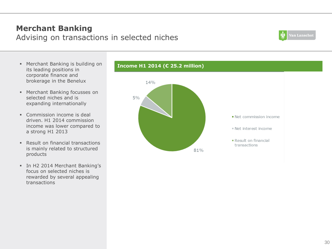### **Merchant Banking** Advising on transactions in selected niches



- Merchant Banking is building on its leading positions in corporate finance and brokerage in the Benelux
- **Merchant Banking focusses on** selected niches and is expanding internationally
- Commission income is deal driven. H1 2014 commission income was lower compared to a strong H1 2013
- Result on financial transactions is mainly related to structured products
- **In H2 2014 Merchant Banking's** focus on selected niches is rewarded by several appealing transactions



**Income H1 2014 (€ 25.2 million)**

Net commission income

- Net interest income
- Result on financial transactions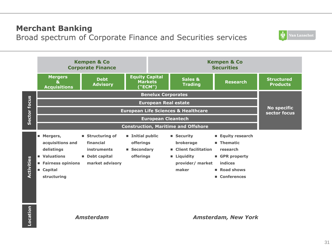### **Merchant Banking**

Broad spectrum of Corporate Finance and Securities services



*Amsterdam*

*Amsterdam, New York*

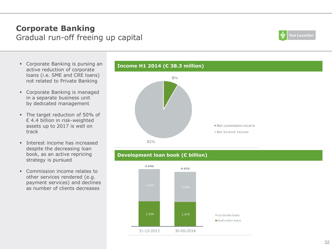### **Corporate Banking** Gradual run-off freeing up capital



- Corporate Banking is pursing an active reduction of corporate loans (i.e. SME and CRE loans) not related to Private Banking
- Corporate Banking is managed in a separate business unit by dedicated management
- The target reduction of 50% of € 4.4 billion in risk-weighted assets up to 2017 is well on track
- **Interest income has increased** despite the decreasing loan book, as an active repricing strategy is pursued
- Commission income relates to other services rendered (e.g. payment services) and declines as number of clients decreases



### **Development loan book (€ billion)**

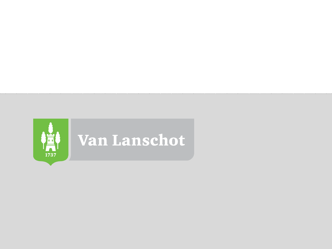